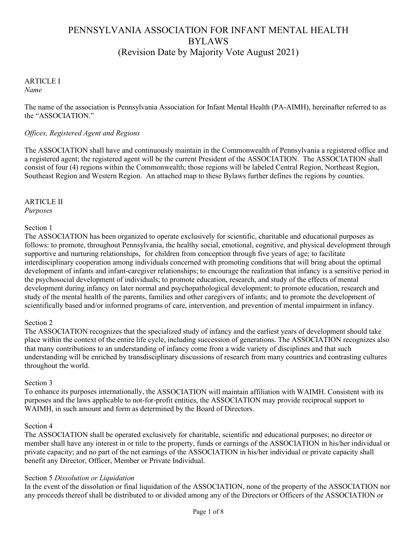# PENNSYLVANIA ASSOCIATION FOR INFANT MENTAL HEALTH BYLAWS (Revision Date by Majority Vote August 2021)

#### ARTICLE I *Name*

The name of the association is Pennsylvania Association for Infant Mental Health (PA-AIMH), hereinafter referred to as the "ASSOCIATION."

## *Offices, Registered Agent and Regions*

The ASSOCIATION shall have and continuously maintain in the Commonwealth of Pennsylvania a registered office and a registered agent; the registered agent will be the current President of the ASSOCIATION. The ASSOCIATION shall consist of four (4) regions within the Commonwealth; those regions will be labeled Central Region, Northeast Region, Southeast Region and Western Region. An attached map to these Bylaws further defines the regions by counties.

## ARTICLE II

*Purposes*

## Section 1

The ASSOCIATION has been organized to operate exclusively for scientific, charitable and educational purposes as follows: to promote, throughout Pennsylvania, the healthy social, emotional, cognitive, and physical development through supportive and nurturing relationships, for children from conception through five years of age; to facilitate interdisciplinary cooperation among individuals concerned with promoting conditions that will bring about the optimal development of infants and infant-caregiver relationships; to encourage the realization that infancy is a sensitive period in the psychosocial development of individuals; to promote education, research, and study of the effects of mental development during infancy on later normal and psychopathological development; to promote education, research and study of the mental health of the parents, families and other caregivers of infants; and to promote the development of scientifically based and/or informed programs of care, intervention, and prevention of mental impairment in infancy.

## Section 2

The ASSOCIATION recognizes that the specialized study of infancy and the earliest years of development should take place within the context of the entire life cycle, including succession of generations. The ASSOCIATION recognizes also that many contributions to an understanding of infancy come from a wide variety of disciplines and that such understanding will be enriched by transdisciplinary discussions of research from many countries and contrasting cultures throughout the world.

## Section 3

To enhance its purposes internationally, the ASSOCIATION will maintain affiliation with WAIMH. Consistent with its purposes and the laws applicable to not-for-profit entities, the ASSOCIATION may provide reciprocal support to WAIMH, in such amount and form as determined by the Board of Directors.

## Section 4

The ASSOCIATION shall be operated exclusively for charitable, scientific and educational purposes; no director or member shall have any interest in or title to the property, funds or earnings of the ASSOCIATION in his/her individual or private capacity; and no part of the net earnings of the ASSOCIATION in his/her individual or private capacity shall benefit any Director, Officer, Member or Private Individual.

## Section 5 *Dissolution or Liquidation*

In the event of the dissolution or final liquidation of the ASSOCIATION, none of the property of the ASSOCIATION nor any proceeds thereof shall be distributed to or divided among any of the Directors or Officers of the ASSOCIATION or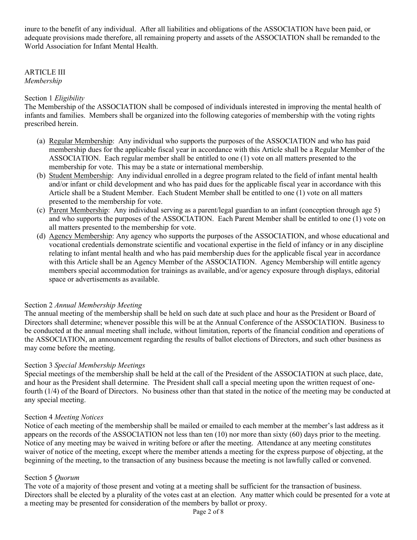inure to the benefit of any individual. After all liabilities and obligations of the ASSOCIATION have been paid, or adequate provisions made therefore, all remaining property and assets of the ASSOCIATION shall be remanded to the World Association for Infant Mental Health.

ARTICLE III *Membership*

#### Section 1 *Eligibility*

The Membership of the ASSOCIATION shall be composed of individuals interested in improving the mental health of infants and families. Members shall be organized into the following categories of membership with the voting rights prescribed herein.

- (a) Regular Membership: Any individual who supports the purposes of the ASSOCIATION and who has paid membership dues for the applicable fiscal year in accordance with this Article shall be a Regular Member of the ASSOCIATION. Each regular member shall be entitled to one (1) vote on all matters presented to the membership for vote. This may be a state or international membership.
- (b) Student Membership: Any individual enrolled in a degree program related to the field of infant mental health and/or infant or child development and who has paid dues for the applicable fiscal year in accordance with this Article shall be a Student Member. Each Student Member shall be entitled to one (1) vote on all matters presented to the membership for vote.
- (c) Parent Membership: Any individual serving as a parent/legal guardian to an infant (conception through age 5) and who supports the purposes of the ASSOCIATION. Each Parent Member shall be entitled to one (1) vote on all matters presented to the membership for vote.
- (d) Agency Membership: Any agency who supports the purposes of the ASSOCIATION, and whose educational and vocational credentials demonstrate scientific and vocational expertise in the field of infancy or in any discipline relating to infant mental health and who has paid membership dues for the applicable fiscal year in accordance with this Article shall be an Agency Member of the ASSOCIATION. Agency Membership will entitle agency members special accommodation for trainings as available, and/or agency exposure through displays, editorial space or advertisements as available.

## Section 2 *Annual Membership Meeting*

The annual meeting of the membership shall be held on such date at such place and hour as the President or Board of Directors shall determine; whenever possible this will be at the Annual Conference of the ASSOCIATION. Business to be conducted at the annual meeting shall include, without limitation, reports of the financial condition and operations of the ASSOCIATION, an announcement regarding the results of ballot elections of Directors, and such other business as may come before the meeting.

## Section 3 *Special Membership Meetings*

Special meetings of the membership shall be held at the call of the President of the ASSOCIATION at such place, date, and hour as the President shall determine. The President shall call a special meeting upon the written request of onefourth (1/4) of the Board of Directors. No business other than that stated in the notice of the meeting may be conducted at any special meeting.

#### Section 4 *Meeting Notices*

Notice of each meeting of the membership shall be mailed or emailed to each member at the member's last address as it appears on the records of the ASSOCIATION not less than ten (10) nor more than sixty (60) days prior to the meeting. Notice of any meeting may be waived in writing before or after the meeting. Attendance at any meeting constitutes waiver of notice of the meeting, except where the member attends a meeting for the express purpose of objecting, at the beginning of the meeting, to the transaction of any business because the meeting is not lawfully called or convened.

## Section 5 *Quorum*

The vote of a majority of those present and voting at a meeting shall be sufficient for the transaction of business. Directors shall be elected by a plurality of the votes cast at an election. Any matter which could be presented for a vote at a meeting may be presented for consideration of the members by ballot or proxy.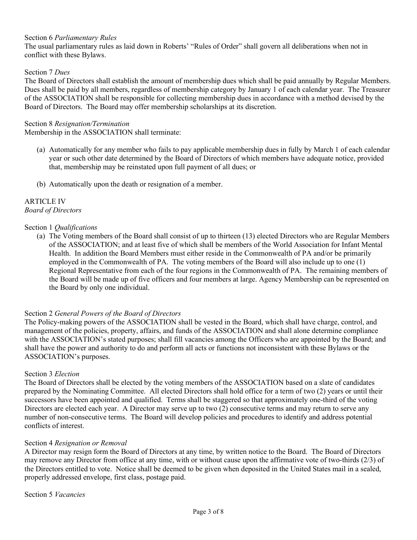## Section 6 *Parliamentary Rules*

The usual parliamentary rules as laid down in Roberts' "Rules of Order" shall govern all deliberations when not in conflict with these Bylaws.

#### Section 7 *Dues*

The Board of Directors shall establish the amount of membership dues which shall be paid annually by Regular Members. Dues shall be paid by all members, regardless of membership category by January 1 of each calendar year. The Treasurer of the ASSOCIATION shall be responsible for collecting membership dues in accordance with a method devised by the Board of Directors. The Board may offer membership scholarships at its discretion.

#### Section 8 *Resignation/Termination*

Membership in the ASSOCIATION shall terminate:

- (a) Automatically for any member who fails to pay applicable membership dues in fully by March 1 of each calendar year or such other date determined by the Board of Directors of which members have adequate notice, provided that, membership may be reinstated upon full payment of all dues; or
- (b) Automatically upon the death or resignation of a member.

#### ARTICLE IV *Board of Directors*

#### Section 1 *Qualifications*

(a) The Voting members of the Board shall consist of up to thirteen (13) elected Directors who are Regular Members of the ASSOCIATION; and at least five of which shall be members of the World Association for Infant Mental Health. In addition the Board Members must either reside in the Commonwealth of PA and/or be primarily employed in the Commonwealth of PA. The voting members of the Board will also include up to one (1) Regional Representative from each of the four regions in the Commonwealth of PA. The remaining members of the Board will be made up of five officers and four members at large. Agency Membership can be represented on the Board by only one individual.

## Section 2 *General Powers of the Board of Directors*

The Policy-making powers of the ASSOCIATION shall be vested in the Board, which shall have charge, control, and management of the policies, property, affairs, and funds of the ASSOCIATION and shall alone determine compliance with the ASSOCIATION's stated purposes; shall fill vacancies among the Officers who are appointed by the Board; and shall have the power and authority to do and perform all acts or functions not inconsistent with these Bylaws or the ASSOCIATION's purposes.

#### Section 3 *Election*

The Board of Directors shall be elected by the voting members of the ASSOCIATION based on a slate of candidates prepared by the Nominating Committee. All elected Directors shall hold office for a term of two (2) years or until their successors have been appointed and qualified. Terms shall be staggered so that approximately one-third of the voting Directors are elected each year. A Director may serve up to two (2) consecutive terms and may return to serve any number of non-consecutive terms. The Board will develop policies and procedures to identify and address potential conflicts of interest.

#### Section 4 *Resignation or Removal*

A Director may resign form the Board of Directors at any time, by written notice to the Board. The Board of Directors may remove any Director from office at any time, with or without cause upon the affirmative vote of two-thirds (2/3) of the Directors entitled to vote. Notice shall be deemed to be given when deposited in the United States mail in a sealed, properly addressed envelope, first class, postage paid.

Section 5 *Vacancies*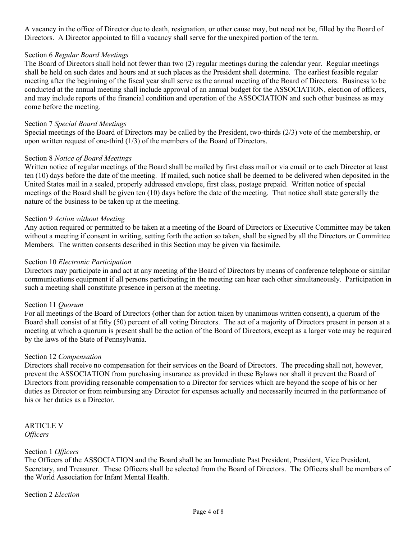A vacancy in the office of Director due to death, resignation, or other cause may, but need not be, filled by the Board of Directors. A Director appointed to fill a vacancy shall serve for the unexpired portion of the term.

## Section 6 *Regular Board Meetings*

The Board of Directors shall hold not fewer than two (2) regular meetings during the calendar year. Regular meetings shall be held on such dates and hours and at such places as the President shall determine. The earliest feasible regular meeting after the beginning of the fiscal year shall serve as the annual meeting of the Board of Directors. Business to be conducted at the annual meeting shall include approval of an annual budget for the ASSOCIATION, election of officers, and may include reports of the financial condition and operation of the ASSOCIATION and such other business as may come before the meeting.

## Section 7 *Special Board Meetings*

Special meetings of the Board of Directors may be called by the President, two-thirds (2/3) vote of the membership, or upon written request of one-third (1/3) of the members of the Board of Directors.

## Section 8 *Notice of Board Meetings*

Written notice of regular meetings of the Board shall be mailed by first class mail or via email or to each Director at least ten (10) days before the date of the meeting. If mailed, such notice shall be deemed to be delivered when deposited in the United States mail in a sealed, properly addressed envelope, first class, postage prepaid. Written notice of special meetings of the Board shall be given ten (10) days before the date of the meeting. That notice shall state generally the nature of the business to be taken up at the meeting.

#### Section 9 *Action without Meeting*

Any action required or permitted to be taken at a meeting of the Board of Directors or Executive Committee may be taken without a meeting if consent in writing, setting forth the action so taken, shall be signed by all the Directors or Committee Members. The written consents described in this Section may be given via facsimile.

#### Section 10 *Electronic Participation*

Directors may participate in and act at any meeting of the Board of Directors by means of conference telephone or similar communications equipment if all persons participating in the meeting can hear each other simultaneously. Participation in such a meeting shall constitute presence in person at the meeting.

## Section 11 *Quorum*

For all meetings of the Board of Directors (other than for action taken by unanimous written consent), a quorum of the Board shall consist of at fifty (50) percent of all voting Directors. The act of a majority of Directors present in person at a meeting at which a quorum is present shall be the action of the Board of Directors, except as a larger vote may be required by the laws of the State of Pennsylvania.

#### Section 12 *Compensation*

Directors shall receive no compensation for their services on the Board of Directors. The preceding shall not, however, prevent the ASSOCIATION from purchasing insurance as provided in these Bylaws nor shall it prevent the Board of Directors from providing reasonable compensation to a Director for services which are beyond the scope of his or her duties as Director or from reimbursing any Director for expenses actually and necessarily incurred in the performance of his or her duties as a Director.

ARTICLE V *Officers*

#### Section 1 *Officers*

The Officers of the ASSOCIATION and the Board shall be an Immediate Past President, President, Vice President, Secretary, and Treasurer. These Officers shall be selected from the Board of Directors. The Officers shall be members of the World Association for Infant Mental Health.

Section 2 *Election*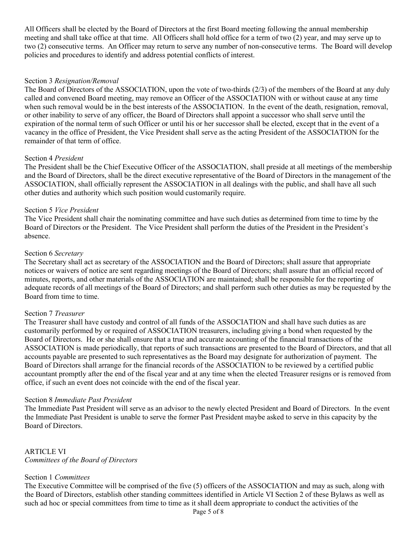All Officers shall be elected by the Board of Directors at the first Board meeting following the annual membership meeting and shall take office at that time. All Officers shall hold office for a term of two (2) year, and may serve up to two (2) consecutive terms. An Officer may return to serve any number of non-consecutive terms. The Board will develop policies and procedures to identify and address potential conflicts of interest.

## Section 3 *Resignation/Removal*

The Board of Directors of the ASSOCIATION, upon the vote of two-thirds (2/3) of the members of the Board at any duly called and convened Board meeting, may remove an Officer of the ASSOCIATION with or without cause at any time when such removal would be in the best interests of the ASSOCIATION. In the event of the death, resignation, removal, or other inability to serve of any officer, the Board of Directors shall appoint a successor who shall serve until the expiration of the normal term of such Officer or until his or her successor shall be elected, except that in the event of a vacancy in the office of President, the Vice President shall serve as the acting President of the ASSOCIATION for the remainder of that term of office.

#### Section 4 *President*

The President shall be the Chief Executive Officer of the ASSOCIATION, shall preside at all meetings of the membership and the Board of Directors, shall be the direct executive representative of the Board of Directors in the management of the ASSOCIATION, shall officially represent the ASSOCIATION in all dealings with the public, and shall have all such other duties and authority which such position would customarily require.

#### Section 5 *Vice President*

The Vice President shall chair the nominating committee and have such duties as determined from time to time by the Board of Directors or the President. The Vice President shall perform the duties of the President in the President's absence.

#### Section 6 *Secretary*

The Secretary shall act as secretary of the ASSOCIATION and the Board of Directors; shall assure that appropriate notices or waivers of notice are sent regarding meetings of the Board of Directors; shall assure that an official record of minutes, reports, and other materials of the ASSOCIATION are maintained; shall be responsible for the reporting of adequate records of all meetings of the Board of Directors; and shall perform such other duties as may be requested by the Board from time to time.

## Section 7 *Treasurer*

The Treasurer shall have custody and control of all funds of the ASSOCIATION and shall have such duties as are customarily performed by or required of ASSOCIATION treasurers, including giving a bond when requested by the Board of Directors. He or she shall ensure that a true and accurate accounting of the financial transactions of the ASSOCIATION is made periodically, that reports of such transactions are presented to the Board of Directors, and that all accounts payable are presented to such representatives as the Board may designate for authorization of payment. The Board of Directors shall arrange for the financial records of the ASSOCIATION to be reviewed by a certified public accountant promptly after the end of the fiscal year and at any time when the elected Treasurer resigns or is removed from office, if such an event does not coincide with the end of the fiscal year.

#### Section 8 *Immediate Past President*

The Immediate Past President will serve as an advisor to the newly elected President and Board of Directors. In the event the Immediate Past President is unable to serve the former Past President maybe asked to serve in this capacity by the Board of Directors.

ARTICLE VI *Committees of the Board of Directors*

## Section 1 *Committees*

The Executive Committee will be comprised of the five (5) officers of the ASSOCIATION and may as such, along with the Board of Directors, establish other standing committees identified in Article VI Section 2 of these Bylaws as well as such ad hoc or special committees from time to time as it shall deem appropriate to conduct the activities of the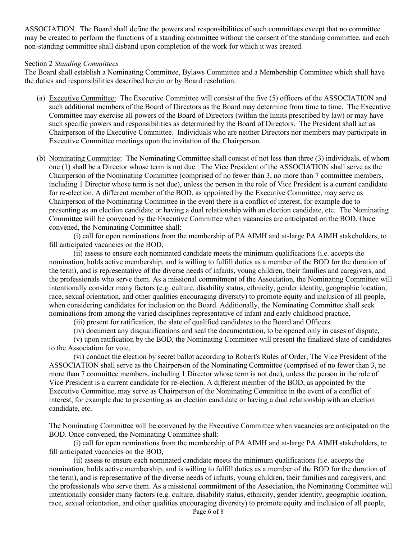ASSOCIATION. The Board shall define the powers and responsibilities of such committees except that no committee may be created to perform the functions of a standing committee without the consent of the standing committee, and each non-standing committee shall disband upon completion of the work for which it was created.

#### Section 2 *Standing Committees*

The Board shall establish a Nominating Committee, Bylaws Committee and a Membership Committee which shall have the duties and responsibilities described herein or by Board resolution.

- (a) Executive Committee: The Executive Committee will consist of the five (5) officers of the ASSOCIATION and such additional members of the Board of Directors as the Board may determine from time to time. The Executive Committee may exercise all powers of the Board of Directors (within the limits prescribed by law) or may have such specific powers and responsibilities as determined by the Board of Directors. The President shall act as Chairperson of the Executive Committee. Individuals who are neither Directors nor members may participate in Executive Committee meetings upon the invitation of the Chairperson.
- (b) Nominating Committee: The Nominating Committee shall consist of not less than three (3) individuals, of whom one (1) shall be a Director whose term is not due. The Vice President of the ASSOCIATION shall serve as the Chairperson of the Nominating Committee (comprised of no fewer than 3, no more than 7 committee members, including 1 Director whose term is not due), unless the person in the role of Vice President is a current candidate for re-election. A different member of the BOD, as appointed by the Executive Committee, may serve as Chairperson of the Nominating Committee in the event there is a conflict of interest, for example due to presenting as an election candidate or having a dual relationship with an election candidate, etc. The Nominating Committee will be convened by the Executive Committee when vacancies are anticipated on the BOD. Once convened, the Nominating Committee shall:

(i) call for open nominations from the membership of PA AIMH and at-large PA AIMH stakeholders, to fill anticipated vacancies on the BOD,

(ii) assess to ensure each nominated candidate meets the minimum qualifications (i.e. accepts the nomination, holds active membership, and is willing to fulfill duties as a member of the BOD for the duration of the term), and is representative of the diverse needs of infants, young children, their families and caregivers, and the professionals who serve them. As a missional commitment of the Association, the Nominating Committee will intentionally consider many factors (e.g. culture, disability status, ethnicity, gender identity, geographic location, race, sexual orientation, and other qualities encouraging diversity) to promote equity and inclusion of all people, when considering candidates for inclusion on the Board. Additionally, the Nominating Committee shall seek nominations from among the varied disciplines representative of infant and early childhood practice,

(iii) present for ratification, the slate of qualified candidates to the Board and Officers.

(iv) document any disqualifications and seal the documentation, to be opened only in cases of dispute,

(v) upon ratification by the BOD, the Nominating Committee will present the finalized slate of candidates to the Association for vote,

(vi) conduct the election by secret ballot according to Robert's Rules of Order, The Vice President of the ASSOCIATION shall serve as the Chairperson of the Nominating Committee (comprised of no fewer than 3, no more than 7 committee members, including 1 Director whose term is not due), unless the person in the role of Vice President is a current candidate for re-election. A different member of the BOD, as appointed by the Executive Committee, may serve as Chairperson of the Nominating Committee in the event of a conflict of interest, for example due to presenting as an election candidate or having a dual relationship with an election candidate, etc.

The Nominating Committee will be convened by the Executive Committee when vacancies are anticipated on the BOD. Once convened, the Nominating Committee shall:

(i) call for open nominations from the membership of PA AIMH and at-large PA AIMH stakeholders, to fill anticipated vacancies on the BOD,

(ii) assess to ensure each nominated candidate meets the minimum qualifications (i.e. accepts the nomination, holds active membership, and is willing to fulfill duties as a member of the BOD for the duration of the term), and is representative of the diverse needs of infants, young children, their families and caregivers, and the professionals who serve them. As a missional commitment of the Association, the Nominating Committee will intentionally consider many factors (e.g. culture, disability status, ethnicity, gender identity, geographic location, race, sexual orientation, and other qualities encouraging diversity) to promote equity and inclusion of all people,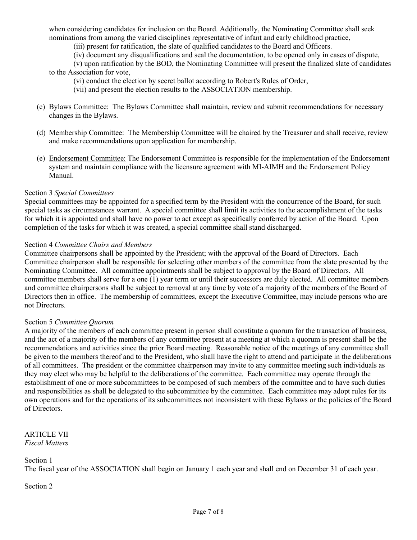when considering candidates for inclusion on the Board. Additionally, the Nominating Committee shall seek nominations from among the varied disciplines representative of infant and early childhood practice,

(iii) present for ratification, the slate of qualified candidates to the Board and Officers.

(iv) document any disqualifications and seal the documentation, to be opened only in cases of dispute,

(v) upon ratification by the BOD, the Nominating Committee will present the finalized slate of candidates to the Association for vote,

- (vi) conduct the election by secret ballot according to Robert's Rules of Order,
- (vii) and present the election results to the ASSOCIATION membership.
- (c) Bylaws Committee: The Bylaws Committee shall maintain, review and submit recommendations for necessary changes in the Bylaws.
- (d) Membership Committee: The Membership Committee will be chaired by the Treasurer and shall receive, review and make recommendations upon application for membership.
- (e) Endorsement Committee: The Endorsement Committee is responsible for the implementation of the Endorsement system and maintain compliance with the licensure agreement with MI-AIMH and the Endorsement Policy Manual.

#### Section 3 *Special Committees*

Special committees may be appointed for a specified term by the President with the concurrence of the Board, for such special tasks as circumstances warrant. A special committee shall limit its activities to the accomplishment of the tasks for which it is appointed and shall have no power to act except as specifically conferred by action of the Board. Upon completion of the tasks for which it was created, a special committee shall stand discharged.

#### Section 4 *Committee Chairs and Members*

Committee chairpersons shall be appointed by the President; with the approval of the Board of Directors. Each Committee chairperson shall be responsible for selecting other members of the committee from the slate presented by the Nominating Committee. All committee appointments shall be subject to approval by the Board of Directors. All committee members shall serve for a one (1) year term or until their successors are duly elected. All committee members and committee chairpersons shall be subject to removal at any time by vote of a majority of the members of the Board of Directors then in office. The membership of committees, except the Executive Committee, may include persons who are not Directors.

#### Section 5 *Committee Quorum*

A majority of the members of each committee present in person shall constitute a quorum for the transaction of business, and the act of a majority of the members of any committee present at a meeting at which a quorum is present shall be the recommendations and activities since the prior Board meeting. Reasonable notice of the meetings of any committee shall be given to the members thereof and to the President, who shall have the right to attend and participate in the deliberations of all committees. The president or the committee chairperson may invite to any committee meeting such individuals as they may elect who may be helpful to the deliberations of the committee. Each committee may operate through the establishment of one or more subcommittees to be composed of such members of the committee and to have such duties and responsibilities as shall be delegated to the subcommittee by the committee. Each committee may adopt rules for its own operations and for the operations of its subcommittees not inconsistent with these Bylaws or the policies of the Board of Directors.

#### ARTICLE VII *Fiscal Matters*

## Section 1

The fiscal year of the ASSOCIATION shall begin on January 1 each year and shall end on December 31 of each year.

Section 2